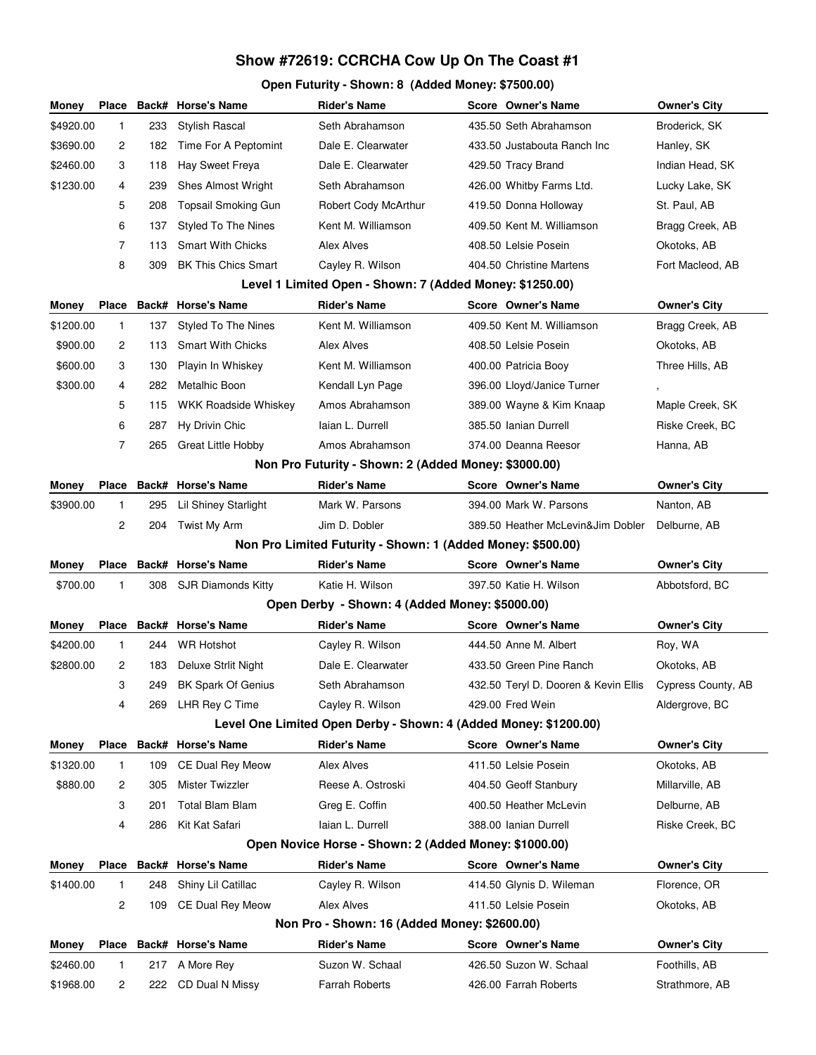## **Show #72619: CCRCHA Cow Up On The Coast #1**

## **Open Futurity - Shown: 8 (Added Money: \$7500.00)**

| Money                  | <b>Place</b>                                                |     | Back# Horse's Name            | <b>Rider's Name</b>                                              |  | Score Owner's Name                              | Owner's City                    |  |
|------------------------|-------------------------------------------------------------|-----|-------------------------------|------------------------------------------------------------------|--|-------------------------------------------------|---------------------------------|--|
| \$4920.00              | 1                                                           | 233 | <b>Stylish Rascal</b>         | Seth Abrahamson                                                  |  | 435.50 Seth Abrahamson                          | Broderick, SK                   |  |
| \$3690.00              | 2                                                           | 182 | Time For A Peptomint          | Dale E. Clearwater                                               |  | 433.50 Justabouta Ranch Inc                     | Hanley, SK                      |  |
| \$2460.00              | 3                                                           | 118 | Hay Sweet Freya               | Dale E. Clearwater                                               |  | 429.50 Tracy Brand                              | Indian Head, SK                 |  |
| \$1230.00              | 4                                                           | 239 | <b>Shes Almost Wright</b>     | Seth Abrahamson                                                  |  | 426.00 Whitby Farms Ltd.                        | Lucky Lake, SK                  |  |
|                        | 5                                                           | 208 | <b>Topsail Smoking Gun</b>    | Robert Cody McArthur                                             |  | 419.50 Donna Holloway                           | St. Paul, AB                    |  |
|                        | 6                                                           | 137 | <b>Styled To The Nines</b>    | Kent M. Williamson                                               |  | 409.50 Kent M. Williamson                       | Bragg Creek, AB                 |  |
|                        | $\overline{7}$                                              | 113 | <b>Smart With Chicks</b>      | Alex Alves                                                       |  | 408.50 Lelsie Posein                            | Okotoks, AB                     |  |
|                        | 8                                                           | 309 | <b>BK This Chics Smart</b>    | Cayley R. Wilson                                                 |  | 404.50 Christine Martens                        | Fort Macleod, AB                |  |
|                        | Level 1 Limited Open - Shown: 7 (Added Money: \$1250.00)    |     |                               |                                                                  |  |                                                 |                                 |  |
| Money                  | Place                                                       |     | Back# Horse's Name            | <b>Rider's Name</b>                                              |  | Score Owner's Name                              | Owner's City                    |  |
| \$1200.00              | 1                                                           | 137 | Styled To The Nines           | Kent M. Williamson                                               |  | 409.50 Kent M. Williamson                       | Bragg Creek, AB                 |  |
| \$900.00               | 2                                                           | 113 | <b>Smart With Chicks</b>      | Alex Alves                                                       |  | 408.50 Lelsie Posein                            | Okotoks, AB                     |  |
| \$600.00               | 3                                                           | 130 | Playin In Whiskey             | Kent M. Williamson                                               |  | 400.00 Patricia Booy                            | Three Hills, AB                 |  |
| \$300.00               | 4                                                           | 282 | Metalhic Boon                 | Kendall Lyn Page                                                 |  | 396.00 Lloyd/Janice Turner                      |                                 |  |
|                        | 5                                                           | 115 | <b>WKK Roadside Whiskey</b>   | Amos Abrahamson                                                  |  | 389.00 Wayne & Kim Knaap                        | Maple Creek, SK                 |  |
|                        | 6                                                           | 287 | Hy Drivin Chic                | laian L. Durrell                                                 |  | 385.50 Ianian Durrell                           | Riske Creek, BC                 |  |
|                        | 7                                                           | 265 | <b>Great Little Hobby</b>     | Amos Abrahamson                                                  |  | 374.00 Deanna Reesor                            | Hanna, AB                       |  |
|                        |                                                             |     |                               | Non Pro Futurity - Shown: 2 (Added Money: \$3000.00)             |  |                                                 |                                 |  |
| Money                  | Place                                                       |     | Back# Horse's Name            | <b>Rider's Name</b>                                              |  | Score Owner's Name                              | <b>Owner's City</b>             |  |
| \$3900.00              | 1                                                           | 295 | <b>Lil Shiney Starlight</b>   | Mark W. Parsons                                                  |  | 394.00 Mark W. Parsons                          | Nanton, AB                      |  |
|                        | 2                                                           | 204 | Twist My Arm                  | Jim D. Dobler                                                    |  | 389.50 Heather McLevin&Jim Dobler               | Delburne, AB                    |  |
|                        | Non Pro Limited Futurity - Shown: 1 (Added Money: \$500.00) |     |                               |                                                                  |  |                                                 |                                 |  |
|                        |                                                             |     |                               |                                                                  |  |                                                 |                                 |  |
| Money                  | Place                                                       |     | Back# Horse's Name            | <b>Rider's Name</b>                                              |  | Score Owner's Name                              | <b>Owner's City</b>             |  |
| \$700.00               | 1                                                           | 308 | SJR Diamonds Kitty            | Katie H. Wilson                                                  |  | 397.50 Katie H. Wilson                          | Abbotsford, BC                  |  |
|                        |                                                             |     |                               | Open Derby - Shown: 4 (Added Money: \$5000.00)                   |  |                                                 |                                 |  |
| Money                  | Place                                                       |     | Back# Horse's Name            | <b>Rider's Name</b>                                              |  | Score Owner's Name                              | <b>Owner's City</b>             |  |
| \$4200.00              | $\mathbf{1}$                                                | 244 | <b>WR Hotshot</b>             | Cayley R. Wilson                                                 |  | 444.50 Anne M. Albert                           | Roy, WA                         |  |
| \$2800.00              | 2                                                           | 183 | <b>Deluxe Strlit Night</b>    | Dale E. Clearwater                                               |  | 433.50 Green Pine Ranch                         | Okotoks, AB                     |  |
|                        | 3                                                           | 249 | <b>BK Spark Of Genius</b>     | Seth Abrahamson                                                  |  | 432.50 Teryl D. Dooren & Kevin Ellis            | Cypress County, AB              |  |
|                        | 4                                                           | 269 | LHR Rey C Time                | Cayley R. Wilson                                                 |  | 429.00 Fred Wein                                | Aldergrove, BC                  |  |
|                        |                                                             |     |                               | Level One Limited Open Derby - Shown: 4 (Added Money: \$1200.00) |  |                                                 |                                 |  |
| Money                  | Place                                                       |     | <b>Back# Horse's Name</b>     | <b>Rider's Name</b>                                              |  | Score Owner's Name                              | <b>Owner's City</b>             |  |
| \$1320.00              | 1                                                           | 109 | <b>CE Dual Rey Meow</b>       | <b>Alex Alves</b>                                                |  | 411.50 Lelsie Posein                            | Okotoks, AB                     |  |
| \$880.00               | 2                                                           | 305 | Mister Twizzler               | Reese A. Ostroski                                                |  | 404.50 Geoff Stanbury                           | Millarville, AB                 |  |
|                        | 3                                                           | 201 | Total Blam Blam               | Greg E. Coffin                                                   |  | 400.50 Heather McLevin                          | Delburne, AB                    |  |
|                        | 4                                                           | 286 | Kit Kat Safari                | laian L. Durrell                                                 |  | 388.00 Ianian Durrell                           | Riske Creek, BC                 |  |
|                        |                                                             |     |                               | Open Novice Horse - Shown: 2 (Added Money: \$1000.00)            |  |                                                 |                                 |  |
| Money                  | Place                                                       |     | Back# Horse's Name            | <b>Rider's Name</b>                                              |  | Score Owner's Name                              | Owner's City                    |  |
| \$1400.00              | 1                                                           | 248 | Shiny Lil Catillac            | Cayley R. Wilson                                                 |  | 414.50 Glynis D. Wileman                        | Florence, OR                    |  |
|                        | 2                                                           | 109 | CE Dual Rey Meow              | Alex Alves                                                       |  | 411.50 Lelsie Posein                            | Okotoks, AB                     |  |
|                        |                                                             |     |                               | Non Pro - Shown: 16 (Added Money: \$2600.00)                     |  |                                                 |                                 |  |
| Money                  | Place                                                       |     | Back# Horse's Name            | <b>Rider's Name</b>                                              |  | Score Owner's Name                              | Owner's City                    |  |
| \$2460.00<br>\$1968.00 | 1<br>2                                                      | 217 | A More Rey<br>CD Dual N Missy | Suzon W. Schaal<br>Farrah Roberts                                |  | 426.50 Suzon W. Schaal<br>426.00 Farrah Roberts | Foothills, AB<br>Strathmore, AB |  |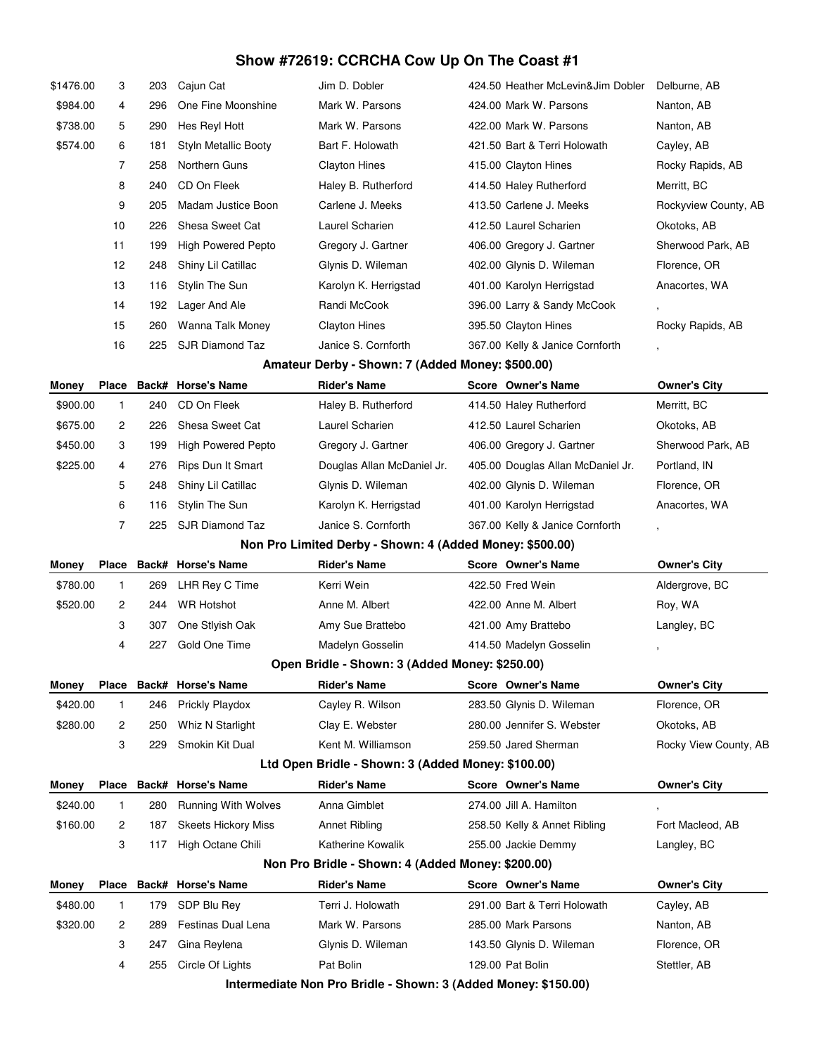## **Show #72619: CCRCHA Cow Up On The Coast #1**

| \$1476.00 | 3              | 203 | Cajun Cat                  | Jim D. Dobler                                               | 424.50 Heather McLevin&Jim Dobler | Delburne, AB             |
|-----------|----------------|-----|----------------------------|-------------------------------------------------------------|-----------------------------------|--------------------------|
| \$984.00  | 4              | 296 | One Fine Moonshine         | Mark W. Parsons                                             | 424.00 Mark W. Parsons            | Nanton, AB               |
| \$738.00  | 5              | 290 | Hes Reyl Hott              | Mark W. Parsons                                             | 422.00 Mark W. Parsons            | Nanton, AB               |
| \$574.00  | 6              | 181 | Styln Metallic Booty       | Bart F. Holowath                                            | 421.50 Bart & Terri Holowath      | Cayley, AB               |
|           | $\overline{7}$ | 258 | Northern Guns              | <b>Clayton Hines</b>                                        | 415.00 Clayton Hines              | Rocky Rapids, AB         |
|           | 8              | 240 | CD On Fleek                | Haley B. Rutherford                                         | 414.50 Haley Rutherford           | Merritt, BC              |
|           | 9              | 205 | Madam Justice Boon         | Carlene J. Meeks                                            | 413.50 Carlene J. Meeks           | Rockyview County, AB     |
|           | 10             | 226 | Shesa Sweet Cat            | Laurel Scharien                                             | 412.50 Laurel Scharien            | Okotoks, AB              |
|           | 11             | 199 | <b>High Powered Pepto</b>  | Gregory J. Gartner                                          | 406.00 Gregory J. Gartner         | Sherwood Park, AB        |
|           | 12             | 248 | Shiny Lil Catillac         | Glynis D. Wileman                                           | 402.00 Glynis D. Wileman          | Florence, OR             |
|           | 13             | 116 | Stylin The Sun             | Karolyn K. Herrigstad                                       | 401.00 Karolyn Herrigstad         | Anacortes, WA            |
|           | 14             | 192 | Lager And Ale              | Randi McCook                                                | 396.00 Larry & Sandy McCook       | $\overline{\phantom{a}}$ |
|           | 15             | 260 | Wanna Talk Money           | <b>Clayton Hines</b>                                        | 395.50 Clayton Hines              | Rocky Rapids, AB         |
|           | 16             | 225 | <b>SJR Diamond Taz</b>     | Janice S. Cornforth                                         | 367.00 Kelly & Janice Cornforth   |                          |
|           |                |     |                            | Amateur Derby - Shown: 7 (Added Money: \$500.00)            |                                   |                          |
| Money     | Place          |     | Back# Horse's Name         | <b>Rider's Name</b>                                         | Score Owner's Name                | <b>Owner's City</b>      |
| \$900.00  | $\mathbf{1}$   | 240 | CD On Fleek                | Haley B. Rutherford                                         | 414.50 Haley Rutherford           | Merritt, BC              |
| \$675.00  | 2              | 226 | Shesa Sweet Cat            | Laurel Scharien                                             | 412.50 Laurel Scharien            | Okotoks, AB              |
| \$450.00  | 3              | 199 | <b>High Powered Pepto</b>  | Gregory J. Gartner                                          | 406.00 Gregory J. Gartner         | Sherwood Park, AB        |
| \$225.00  | 4              | 276 | Rips Dun It Smart          | Douglas Allan McDaniel Jr.                                  | 405.00 Douglas Allan McDaniel Jr. | Portland, IN             |
|           | 5              | 248 | Shiny Lil Catillac         | Glynis D. Wileman                                           | 402.00 Glynis D. Wileman          | Florence, OR             |
|           | 6              | 116 | Stylin The Sun             | Karolyn K. Herrigstad                                       | 401.00 Karolyn Herrigstad         | Anacortes, WA            |
|           | $\overline{7}$ | 225 | SJR Diamond Taz            | Janice S. Cornforth                                         | 367.00 Kelly & Janice Cornforth   | ,                        |
|           |                |     |                            | Non Pro Limited Derby - Shown: 4 (Added Money: \$500.00)    |                                   |                          |
| Money     | Place          |     | <b>Back# Horse's Name</b>  | <b>Rider's Name</b>                                         | Score Owner's Name                | <b>Owner's City</b>      |
| \$780.00  | 1              | 269 | LHR Rey C Time             | Kerri Wein                                                  | 422.50 Fred Wein                  | Aldergrove, BC           |
| \$520.00  | 2              | 244 | <b>WR Hotshot</b>          | Anne M. Albert                                              | 422.00 Anne M. Albert             | Roy, WA                  |
|           | 3              | 307 | One Stlyish Oak            | Amy Sue Brattebo                                            | 421.00 Amy Brattebo               | Langley, BC              |
|           | 4              | 227 | Gold One Time              | Madelyn Gosselin                                            | 414.50 Madelyn Gosselin           | ,                        |
|           |                |     |                            | Open Bridle - Shown: 3 (Added Money: \$250.00)              |                                   |                          |
| Money     | Place          |     | <b>Back# Horse's Name</b>  | <b>Rider's Name</b>                                         | Score Owner's Name                | <b>Owner's City</b>      |
| \$420.00  | 1              | 246 | Prickly Playdox            | Cayley R. Wilson                                            | 283.50 Glynis D. Wileman          | Florence, OR             |
| \$280.00  | 2              | 250 | Whiz N Starlight           | Clay E. Webster                                             | 280.00 Jennifer S. Webster        | Okotoks, AB              |
|           | 3              | 229 | Smokin Kit Dual            | Kent M. Williamson                                          | 259.50 Jared Sherman              | Rocky View County, AB    |
|           |                |     |                            | Ltd Open Bridle - Shown: 3 (Added Money: \$100.00)          |                                   |                          |
| Money     | Place          |     | Back# Horse's Name         | <b>Rider's Name</b>                                         | <b>Score Owner's Name</b>         | <b>Owner's City</b>      |
| \$240.00  | $\mathbf{1}$   | 280 | <b>Running With Wolves</b> | Anna Gimblet                                                | 274.00 Jill A. Hamilton           |                          |
| \$160.00  | 2              | 187 | <b>Skeets Hickory Miss</b> | Annet Ribling                                               | 258.50 Kelly & Annet Ribling      | Fort Macleod, AB         |
|           | 3              | 117 | High Octane Chili          | Katherine Kowalik                                           | 255.00 Jackie Demmy               | Langley, BC              |
|           |                |     |                            | Non Pro Bridle - Shown: 4 (Added Money: \$200.00)           |                                   |                          |
| Money     | <b>Place</b>   |     | Back# Horse's Name         | <b>Rider's Name</b>                                         | Score Owner's Name                | Owner's City             |
| \$480.00  | 1              | 179 | SDP Blu Rey                | Terri J. Holowath                                           | 291.00 Bart & Terri Holowath      | Cayley, AB               |
| \$320.00  | 2              | 289 | Festinas Dual Lena         | Mark W. Parsons                                             | 285.00 Mark Parsons               | Nanton, AB               |
|           | 3              | 247 | Gina Reylena               | Glynis D. Wileman                                           | 143.50 Glynis D. Wileman          | Florence, OR             |
|           | 4              | 255 | Circle Of Lights           | Pat Bolin                                                   | 129.00 Pat Bolin                  | Stettler, AB             |
|           |                |     |                            | Intermediate Nep Dre Pridle Chourn 2 (Added Menour C150,00) |                                   |                          |

**Intermediate Non Pro Bridle - Shown: 3 (Added Money: \$150.00)**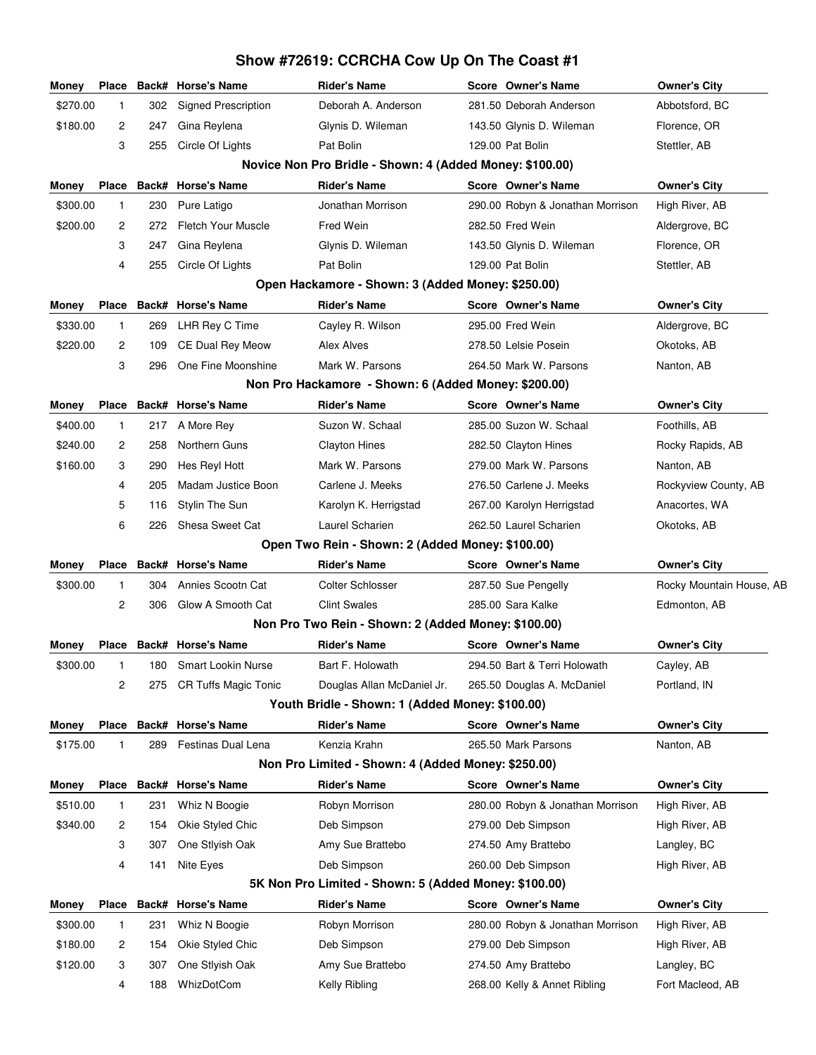## **Money Place Back# Horse's Name Rider's Name Score Owner's Name Owner's City** \$270.00 1 302 Signed Prescription Deborah A. Anderson 281.50 Deborah Anderson Abbotsford, BC \$180.00 2 247 Gina Reylena Glynis D. Wileman 143.50 Glynis D. Wileman Florence, OR 3 255 Circle Of Lights Pat Bolin 129.00 Pat Bolin Stettler, AB **Novice Non Pro Bridle - Shown: 4 (Added Money: \$100.00) Money Place Back# Horse's Name Rider's Name Score Owner's Name Owner's City** \$300.00 1 230 Pure Latigo Jonathan Morrison 290.00 Robyn & Jonathan Morrison High River, AB \$200.00 2 272 Fletch Your Muscle Fred Wein 282.50 Fred Wein Aldergrove, BC 3 247 Gina Reylena Glynis D. Wileman 143.50 Glynis D. Wileman Florence, OR 4 255 Circle Of Lights Pat Bolin 129.00 Pat Bolin Stettler, AB **Open Hackamore - Shown: 3 (Added Money: \$250.00) Money Place Back# Horse's Name Rider's Name Score Owner's Name Owner's City** \$330.00 1 269 LHR Rey C Time Cayley R. Wilson 295.00 Fred Wein Aldergrove, BC \$220.00 2 109 CE Dual Rey Meow Alex Alves 278.50 Lelsie Posein Okotoks, AB 3 296 One Fine Moonshine Mark W. Parsons 264.50 Mark W. Parsons Nanton, AB **Non Pro Hackamore - Shown: 6 (Added Money: \$200.00) Money Place Back# Horse's Name Rider's Name Score Owner's Name Owner's City** \$400.00 1 217 A More Rey Suzon W. Schaal 285.00 Suzon W. Schaal Foothills, AB \$240.00 2 258 Northern Guns Clayton Hines 282.50 Clayton Hines Rocky Rapids, AB \$160.00 3 290 Hes Reyl Hott Mark W. Parsons 279.00 Mark W. Parsons Nanton, AB 4 205 Madam Justice Boon Carlene J. Meeks 276.50 Carlene J. Meeks Rockyview County, AB 5 116 Stylin The Sun Karolyn K. Herrigstad 267.00 Karolyn Herrigstad Anacortes, WA 6 226 Shesa Sweet Cat Laurel Scharien 262.50 Laurel Scharien Okotoks, AB **Open Two Rein - Shown: 2 (Added Money: \$100.00) Money Place Back# Horse's Name Rider's Name Score Owner's Name Owner's City** \$300.00 1 304 Annies Scootn Cat Colter Schlosser 287.50 Sue Pengelly Rocky Mountain House, AB 2 306 Glow A Smooth Cat Clint Swales 285.00 Sara Kalke Edmonton, AB **Non Pro Two Rein - Shown: 2 (Added Money: \$100.00) Money Place Back# Horse's Name Rider's Name Score Owner's Name Owner's City** \$300.00 1 180 Smart Lookin Nurse Bart F. Holowath 294.50 Bart & Terri Holowath Cayley, AB 2 275 CR Tuffs Magic Tonic Douglas Allan McDaniel Jr. 265.50 Douglas A. McDaniel Portland, IN **Youth Bridle - Shown: 1 (Added Money: \$100.00) Money Place Back# Horse's Name Rider's Name Score Owner's Name Owner's City** \$175.00 1 289 Festinas Dual Lena Kenzia Krahn 265.50 Mark Parsons Nanton, AB **Non Pro Limited - Shown: 4 (Added Money: \$250.00) Money Place Back# Horse's Name Rider's Name Score Owner's Name Owner's City** \$510.00 1 231 Whiz N Boogie Robyn Morrison 280.00 Robyn & Jonathan Morrison High River, AB \$340.00 2 154 Okie Styled Chic Deb Simpson 279.00 Deb Simpson High River, AB 3 307 One Stlyish Oak Amy Sue Brattebo 274.50 Amy Brattebo Langley, BC 4 141 Nite Eyes **Deb Simpson** 260.00 Deb Simpson High River, AB **5K Non Pro Limited - Shown: 5 (Added Money: \$100.00) Money Place Back# Horse's Name Rider's Name Score Owner's Name Owner's City** \$300.00 1 231 Whiz N Boogie Robyn Morrison 280.00 Robyn & Jonathan Morrison High River, AB \$180.00 2 154 Okie Styled Chic Deb Simpson 279.00 Deb Simpson High River, AB \$120.00 3 307 One Stlyish Oak Amy Sue Brattebo 274.50 Amy Brattebo Langley, BC 4 188 WhizDotCom **Kelly Ribling 168.00 Kelly & Annet Ribling** Fort Macleod, AB

**Show #72619: CCRCHA Cow Up On The Coast #1**